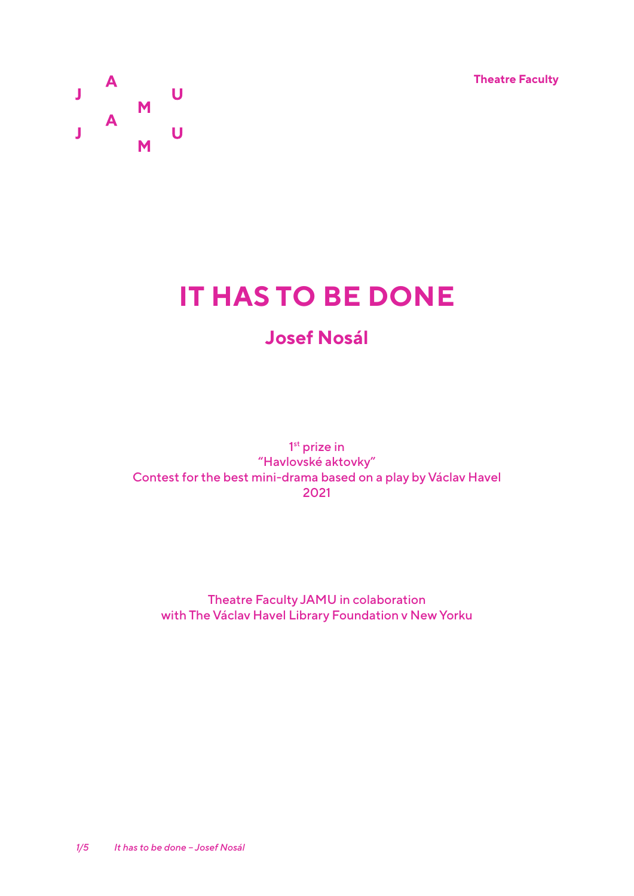**Theatre Faculty**



# **IT HAS TO BE DONE**

# **Josef Nosál**

1<sup>st</sup> prize in "Havlovské aktovky" Contest for the best mini-drama based on a play by Václav Havel 2021

Theatre Faculty JAMU in colaboration with The Václav Havel Library Foundation v New Yorku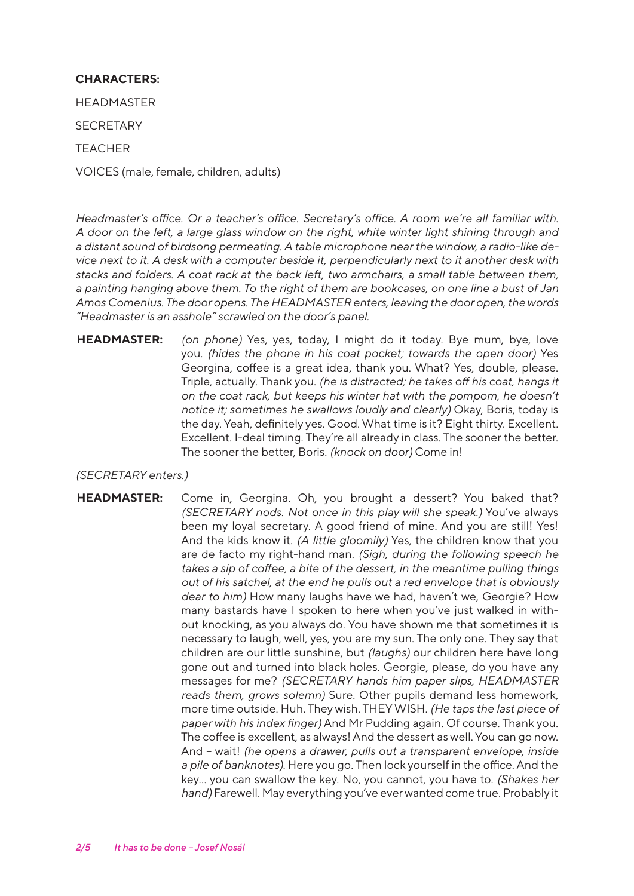## **CHARACTERS:**

HEADMASTER

**SECRETARY** 

TEACHER

VOICES (male, female, children, adults)

*Headmaster's office. Or a teacher's office. Secretary's office. A room we're all familiar with. A door on the left, a large glass window on the right, white winter light shining through and a distant sound of birdsong permeating. A table microphone near the window, a radio-like device next to it. A desk with a computer beside it, perpendicularly next to it another desk with stacks and folders. A coat rack at the back left, two armchairs, a small table between them, a painting hanging above them. To the right of them are bookcases, on one line a bust of Jan Amos Comenius. The door opens. The HEADMASTER enters, leaving the door open, the words "Headmaster is an asshole" scrawled on the door's panel.*

**HEADMASTER:** *(on phone)* Yes, yes, today, I might do it today. Bye mum, bye, love you. *(hides the phone in his coat pocket; towards the open door)* Yes Georgina, coffee is a great idea, thank you. What? Yes, double, please. Triple, actually. Thank you. *(he is distracted; he takes off his coat, hangs it on the coat rack, but keeps his winter hat with the pompom, he doesn't notice it; sometimes he swallows loudly and clearly)* Okay, Boris, today is the day. Yeah, definitely yes. Good. What time is it? Eight thirty. Excellent. Excellent. I-deal timing. They're all already in class. The sooner the better. The sooner the better, Boris. *(knock on door)* Come in!

### *(SECRETARY enters.)*

**HEADMASTER:** Come in, Georgina. Oh, you brought a dessert? You baked that? *(SECRETARY nods. Not once in this play will she speak.)* You've always been my loyal secretary. A good friend of mine. And you are still! Yes! And the kids know it. *(A little gloomily)* Yes, the children know that you are de facto my right-hand man. *(Sigh, during the following speech he takes a sip of coffee, a bite of the dessert, in the meantime pulling things out of his satchel, at the end he pulls out a red envelope that is obviously dear to him)* How many laughs have we had, haven't we, Georgie? How many bastards have I spoken to here when you've just walked in without knocking, as you always do. You have shown me that sometimes it is necessary to laugh, well, yes, you are my sun. The only one. They say that children are our little sunshine, but *(laughs)* our children here have long gone out and turned into black holes. Georgie, please, do you have any messages for me? *(SECRETARY hands him paper slips, HEADMASTER reads them, grows solemn)* Sure. Other pupils demand less homework, more time outside. Huh. They wish. THEY WISH. *(He taps the last piece of paper with his index finger)* And Mr Pudding again. Of course. Thank you. The coffee is excellent, as always! And the dessert as well. You can go now. And – wait! *(he opens a drawer, pulls out a transparent envelope, inside a pile of banknotes)*. Here you go. Then lock yourself in the office. And the key... you can swallow the key. No, you cannot, you have to. *(Shakes her hand)* Farewell. May everything you've ever wanted come true. Probably it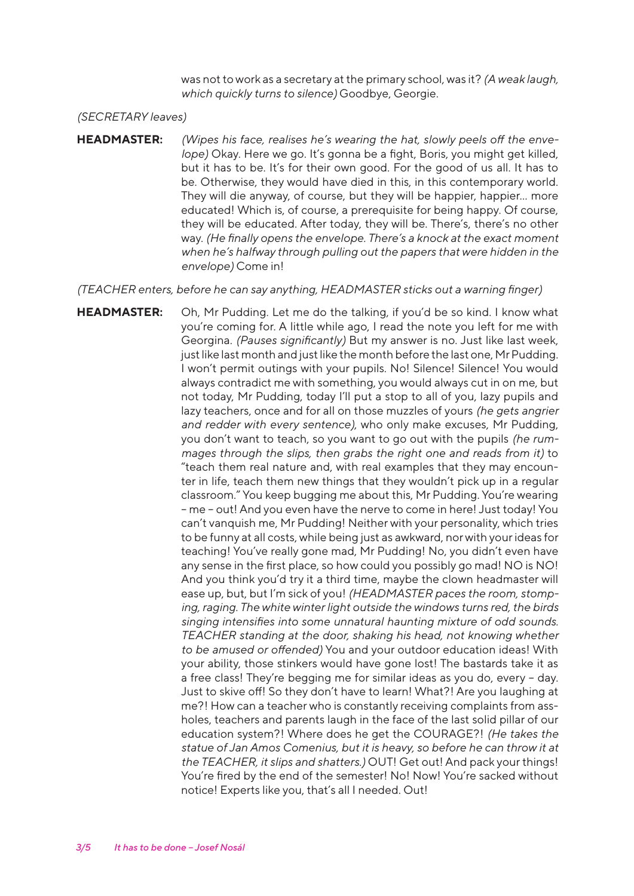was not to work as a secretary at the primary school, was it? *(A weak laugh, which quickly turns to silence)* Goodbye, Georgie.

#### *(SECRETARY leaves)*

**HEADMASTER:** *(Wipes his face, realises he's wearing the hat, slowly peels off the envelope)* Okay. Here we go. It's gonna be a fight, Boris, you might get killed, but it has to be. It's for their own good. For the good of us all. It has to be. Otherwise, they would have died in this, in this contemporary world. They will die anyway, of course, but they will be happier, happier... more educated! Which is, of course, a prerequisite for being happy. Of course, they will be educated. After today, they will be. There's, there's no other way. *(He finally opens the envelope. There's a knock at the exact moment when he's halfway through pulling out the papers that were hidden in the envelope)* Come in!

*(TEACHER enters, before he can say anything, HEADMASTER sticks out a warning finger)* 

**HEADMASTER:** Oh, Mr Pudding. Let me do the talking, if you'd be so kind. I know what you're coming for. A little while ago, I read the note you left for me with Georgina. *(Pauses significantly)* But my answer is no. Just like last week, just like last month and just like the month before the last one, Mr Pudding. I won't permit outings with your pupils. No! Silence! Silence! You would always contradict me with something, you would always cut in on me, but not today, Mr Pudding, today I'll put a stop to all of you, lazy pupils and lazy teachers, once and for all on those muzzles of yours *(he gets angrier and redder with every sentence)*, who only make excuses, Mr Pudding, you don't want to teach, so you want to go out with the pupils *(he rummages through the slips, then grabs the right one and reads from it)* to "teach them real nature and, with real examples that they may encounter in life, teach them new things that they wouldn't pick up in a regular classroom." You keep bugging me about this, Mr Pudding. You're wearing – me – out! And you even have the nerve to come in here! Just today! You can't vanquish me, Mr Pudding! Neither with your personality, which tries to be funny at all costs, while being just as awkward, nor with your ideas for teaching! You've really gone mad, Mr Pudding! No, you didn't even have any sense in the first place, so how could you possibly go mad! NO is NO! And you think you'd try it a third time, maybe the clown headmaster will ease up, but, but I'm sick of you! *(HEADMASTER paces the room, stomping, raging. The white winter light outside the windows turns red, the birds singing intensifies into some unnatural haunting mixture of odd sounds. TEACHER standing at the door, shaking his head, not knowing whether to be amused or offended)* You and your outdoor education ideas! With your ability, those stinkers would have gone lost! The bastards take it as a free class! They're begging me for similar ideas as you do, every – day. Just to skive off! So they don't have to learn! What?! Are you laughing at me?! How can a teacher who is constantly receiving complaints from assholes, teachers and parents laugh in the face of the last solid pillar of our education system?! Where does he get the COURAGE?! *(He takes the statue of Jan Amos Comenius, but it is heavy, so before he can throw it at the TEACHER, it slips and shatters.)* OUT! Get out! And pack your things! You're fired by the end of the semester! No! Now! You're sacked without notice! Experts like you, that's all I needed. Out!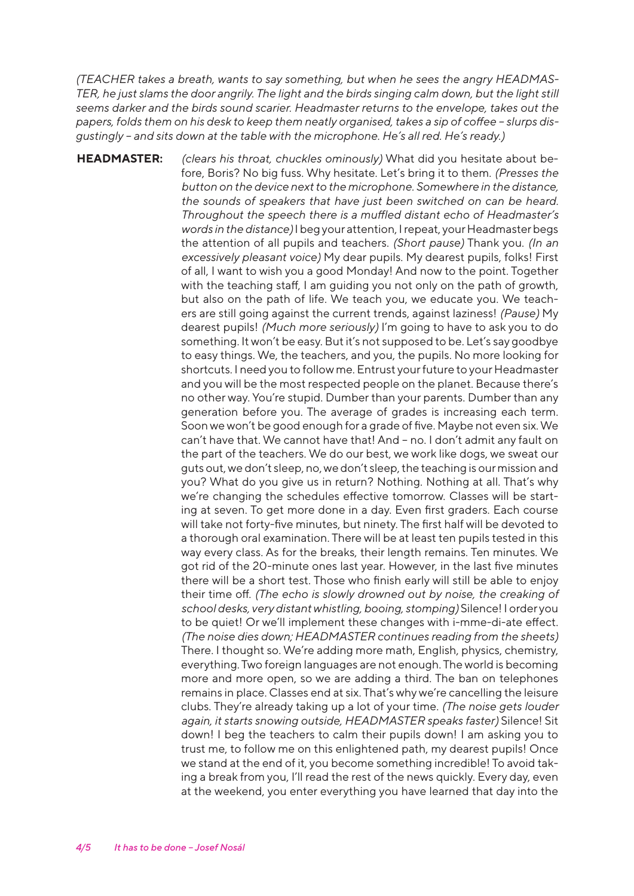*(TEACHER takes a breath, wants to say something, but when he sees the angry HEADMAS-TER, he just slams the door angrily. The light and the birds singing calm down, but the light still seems darker and the birds sound scarier. Headmaster returns to the envelope, takes out the papers, folds them on his desk to keep them neatly organised, takes a sip of coffee – slurps disgustingly – and sits down at the table with the microphone. He's all red. He's ready.)* 

**HEADMASTER:** *(clears his throat, chuckles ominously)* What did you hesitate about before, Boris? No big fuss. Why hesitate. Let's bring it to them. *(Presses the button on the device next to the microphone. Somewhere in the distance, the sounds of speakers that have just been switched on can be heard. Throughout the speech there is a muffled distant echo of Headmaster's words in the distance)* I beg your attention, I repeat, your Headmaster begs the attention of all pupils and teachers. *(Short pause)* Thank you. *(In an excessively pleasant voice)* My dear pupils. My dearest pupils, folks! First of all, I want to wish you a good Monday! And now to the point. Together with the teaching staff, I am guiding you not only on the path of growth, but also on the path of life. We teach you, we educate you. We teachers are still going against the current trends, against laziness! *(Pause)* My dearest pupils! *(Much more seriously)* I'm going to have to ask you to do something. It won't be easy. But it's not supposed to be. Let's say goodbye to easy things. We, the teachers, and you, the pupils. No more looking for shortcuts. I need you to follow me. Entrust your future to your Headmaster and you will be the most respected people on the planet. Because there's no other way. You're stupid. Dumber than your parents. Dumber than any generation before you. The average of grades is increasing each term. Soon we won't be good enough for a grade of five. Maybe not even six. We can't have that. We cannot have that! And – no. I don't admit any fault on the part of the teachers. We do our best, we work like dogs, we sweat our guts out, we don't sleep, no, we don't sleep, the teaching is our mission and you? What do you give us in return? Nothing. Nothing at all. That's why we're changing the schedules effective tomorrow. Classes will be starting at seven. To get more done in a day. Even first graders. Each course will take not forty-five minutes, but ninety. The first half will be devoted to a thorough oral examination. There will be at least ten pupils tested in this way every class. As for the breaks, their length remains. Ten minutes. We got rid of the 20-minute ones last year. However, in the last five minutes there will be a short test. Those who finish early will still be able to enjoy their time off. *(The echo is slowly drowned out by noise, the creaking of school desks, very distant whistling, booing, stomping)* Silence! I order you to be quiet! Or we'll implement these changes with i-mme-di-ate effect. *(The noise dies down; HEADMASTER continues reading from the sheets)* There. I thought so. We're adding more math, English, physics, chemistry, everything. Two foreign languages are not enough. The world is becoming more and more open, so we are adding a third. The ban on telephones remains in place. Classes end at six. That's why we're cancelling the leisure clubs. They're already taking up a lot of your time. *(The noise gets louder again, it starts snowing outside, HEADMASTER speaks faster)* Silence! Sit down! I beg the teachers to calm their pupils down! I am asking you to trust me, to follow me on this enlightened path, my dearest pupils! Once we stand at the end of it, you become something incredible! To avoid taking a break from you, I'll read the rest of the news quickly. Every day, even at the weekend, you enter everything you have learned that day into the